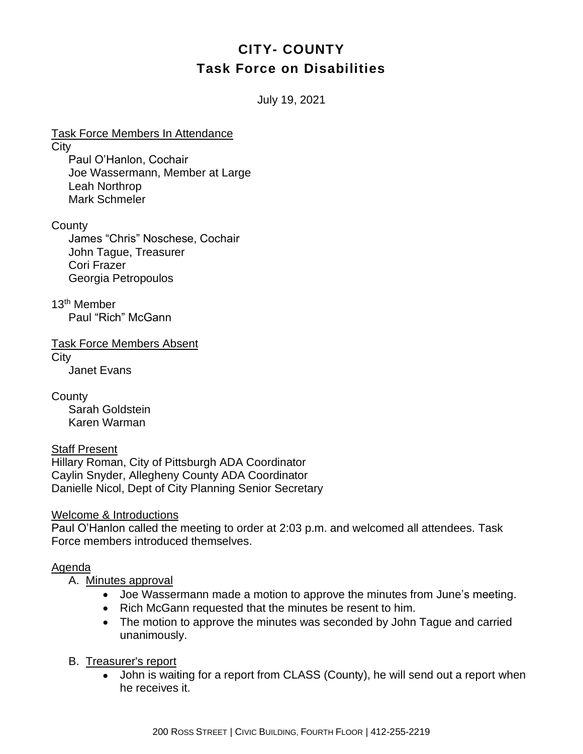# **CITY- COUNTY Task Force on Disabilities**

July 19, 2021

Task Force Members In Attendance **City** Paul O'Hanlon, Cochair Joe Wassermann, Member at Large Leah Northrop Mark Schmeler

#### **County**

James "Chris" Noschese, Cochair John Tague, Treasurer Cori Frazer Georgia Petropoulos

13th Member Paul "Rich" McGann

Task Force Members Absent

**City** 

Janet Evans

**County** 

Sarah Goldstein Karen Warman

#### Staff Present

Hillary Roman, City of Pittsburgh ADA Coordinator Caylin Snyder, Allegheny County ADA Coordinator Danielle Nicol, Dept of City Planning Senior Secretary

#### Welcome & Introductions

Paul O'Hanlon called the meeting to order at 2:03 p.m. and welcomed all attendees. Task Force members introduced themselves.

#### Agenda

#### A. Minutes approval

- Joe Wassermann made a motion to approve the minutes from June's meeting.
- Rich McGann requested that the minutes be resent to him.
- The motion to approve the minutes was seconded by John Tague and carried unanimously.

## B. Treasurer's report

• John is waiting for a report from CLASS (County), he will send out a report when he receives it.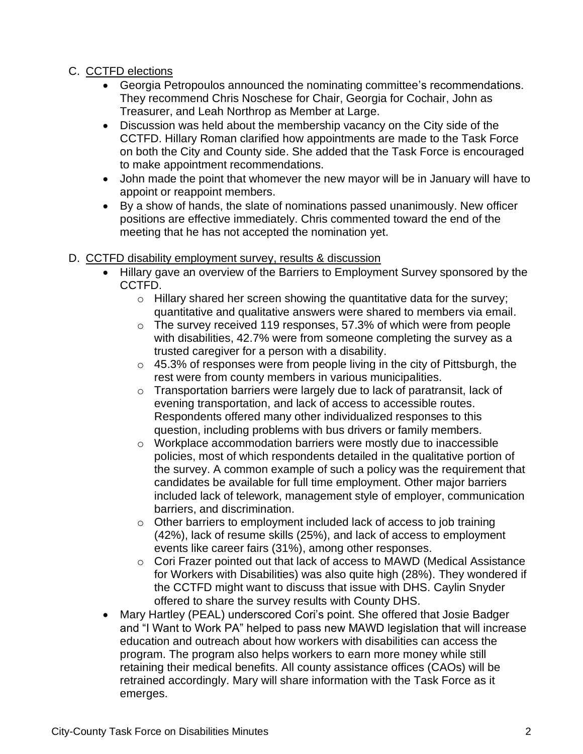## C. CCTFD elections

- Georgia Petropoulos announced the nominating committee's recommendations. They recommend Chris Noschese for Chair, Georgia for Cochair, John as Treasurer, and Leah Northrop as Member at Large.
- Discussion was held about the membership vacancy on the City side of the CCTFD. Hillary Roman clarified how appointments are made to the Task Force on both the City and County side. She added that the Task Force is encouraged to make appointment recommendations.
- John made the point that whomever the new mayor will be in January will have to appoint or reappoint members.
- By a show of hands, the slate of nominations passed unanimously. New officer positions are effective immediately. Chris commented toward the end of the meeting that he has not accepted the nomination yet.

## D. CCTFD disability employment survey, results & discussion

- Hillary gave an overview of the Barriers to Employment Survey sponsored by the CCTFD.
	- o Hillary shared her screen showing the quantitative data for the survey; quantitative and qualitative answers were shared to members via email.
	- o The survey received 119 responses, 57.3% of which were from people with disabilities, 42.7% were from someone completing the survey as a trusted caregiver for a person with a disability.
	- $\circ$  45.3% of responses were from people living in the city of Pittsburgh, the rest were from county members in various municipalities.
	- o Transportation barriers were largely due to lack of paratransit, lack of evening transportation, and lack of access to accessible routes. Respondents offered many other individualized responses to this question, including problems with bus drivers or family members.
	- o Workplace accommodation barriers were mostly due to inaccessible policies, most of which respondents detailed in the qualitative portion of the survey. A common example of such a policy was the requirement that candidates be available for full time employment. Other major barriers included lack of telework, management style of employer, communication barriers, and discrimination.
	- o Other barriers to employment included lack of access to job training (42%), lack of resume skills (25%), and lack of access to employment events like career fairs (31%), among other responses.
	- o Cori Frazer pointed out that lack of access to MAWD (Medical Assistance for Workers with Disabilities) was also quite high (28%). They wondered if the CCTFD might want to discuss that issue with DHS. Caylin Snyder offered to share the survey results with County DHS.
- Mary Hartley (PEAL) underscored Cori's point. She offered that Josie Badger and "I Want to Work PA" helped to pass new MAWD legislation that will increase education and outreach about how workers with disabilities can access the program. The program also helps workers to earn more money while still retaining their medical benefits. All county assistance offices (CAOs) will be retrained accordingly. Mary will share information with the Task Force as it emerges.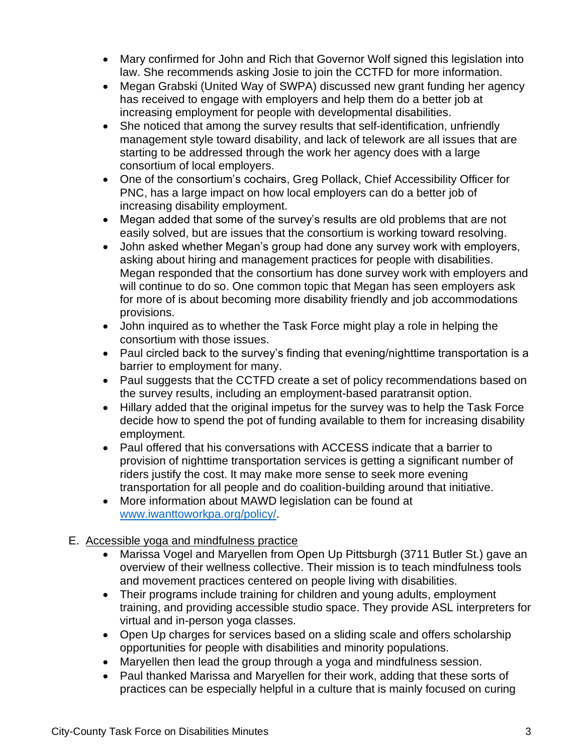- Mary confirmed for John and Rich that Governor Wolf signed this legislation into law. She recommends asking Josie to join the CCTFD for more information.
- Megan Grabski (United Way of SWPA) discussed new grant funding her agency has received to engage with employers and help them do a better job at increasing employment for people with developmental disabilities.
- She noticed that among the survey results that self-identification, unfriendly management style toward disability, and lack of telework are all issues that are starting to be addressed through the work her agency does with a large consortium of local employers.
- One of the consortium's cochairs, Greg Pollack, Chief Accessibility Officer for PNC, has a large impact on how local employers can do a better job of increasing disability employment.
- Megan added that some of the survey's results are old problems that are not easily solved, but are issues that the consortium is working toward resolving.
- John asked whether Megan's group had done any survey work with employers, asking about hiring and management practices for people with disabilities. Megan responded that the consortium has done survey work with employers and will continue to do so. One common topic that Megan has seen employers ask for more of is about becoming more disability friendly and job accommodations provisions.
- John inquired as to whether the Task Force might play a role in helping the consortium with those issues.
- Paul circled back to the survey's finding that evening/nighttime transportation is a barrier to employment for many.
- Paul suggests that the CCTFD create a set of policy recommendations based on the survey results, including an employment-based paratransit option.
- Hillary added that the original impetus for the survey was to help the Task Force decide how to spend the pot of funding available to them for increasing disability employment.
- Paul offered that his conversations with ACCESS indicate that a barrier to provision of nighttime transportation services is getting a significant number of riders justify the cost. It may make more sense to seek more evening transportation for all people and do coalition-building around that initiative.
- More information about MAWD legislation can be found at [www.iwanttoworkpa.org/policy/.](http://www.iwanttoworkpa.org/policy/)

## E. Accessible yoga and mindfulness practice

- Marissa Vogel and Maryellen from Open Up Pittsburgh (3711 Butler St.) gave an overview of their wellness collective. Their mission is to teach mindfulness tools and movement practices centered on people living with disabilities.
- Their programs include training for children and young adults, employment training, and providing accessible studio space. They provide ASL interpreters for virtual and in-person yoga classes.
- Open Up charges for services based on a sliding scale and offers scholarship opportunities for people with disabilities and minority populations.
- Maryellen then lead the group through a yoga and mindfulness session.
- Paul thanked Marissa and Maryellen for their work, adding that these sorts of practices can be especially helpful in a culture that is mainly focused on curing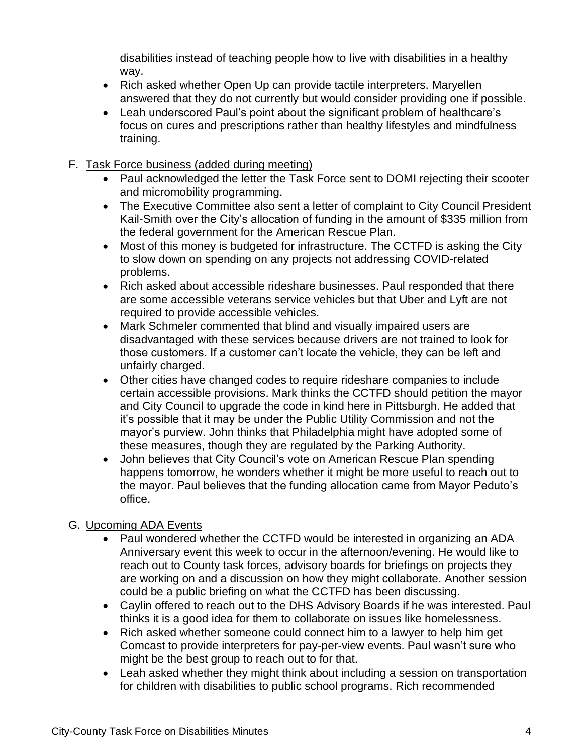disabilities instead of teaching people how to live with disabilities in a healthy way.

- Rich asked whether Open Up can provide tactile interpreters. Maryellen answered that they do not currently but would consider providing one if possible.
- Leah underscored Paul's point about the significant problem of healthcare's focus on cures and prescriptions rather than healthy lifestyles and mindfulness training.

# F. Task Force business (added during meeting)

- Paul acknowledged the letter the Task Force sent to DOMI rejecting their scooter and micromobility programming.
- The Executive Committee also sent a letter of complaint to City Council President Kail-Smith over the City's allocation of funding in the amount of \$335 million from the federal government for the American Rescue Plan.
- Most of this money is budgeted for infrastructure. The CCTFD is asking the City to slow down on spending on any projects not addressing COVID-related problems.
- Rich asked about accessible rideshare businesses. Paul responded that there are some accessible veterans service vehicles but that Uber and Lyft are not required to provide accessible vehicles.
- Mark Schmeler commented that blind and visually impaired users are disadvantaged with these services because drivers are not trained to look for those customers. If a customer can't locate the vehicle, they can be left and unfairly charged.
- Other cities have changed codes to require rideshare companies to include certain accessible provisions. Mark thinks the CCTFD should petition the mayor and City Council to upgrade the code in kind here in Pittsburgh. He added that it's possible that it may be under the Public Utility Commission and not the mayor's purview. John thinks that Philadelphia might have adopted some of these measures, though they are regulated by the Parking Authority.
- John believes that City Council's vote on American Rescue Plan spending happens tomorrow, he wonders whether it might be more useful to reach out to the mayor. Paul believes that the funding allocation came from Mayor Peduto's office.

# G. Upcoming ADA Events

- Paul wondered whether the CCTFD would be interested in organizing an ADA Anniversary event this week to occur in the afternoon/evening. He would like to reach out to County task forces, advisory boards for briefings on projects they are working on and a discussion on how they might collaborate. Another session could be a public briefing on what the CCTFD has been discussing.
- Caylin offered to reach out to the DHS Advisory Boards if he was interested. Paul thinks it is a good idea for them to collaborate on issues like homelessness.
- Rich asked whether someone could connect him to a lawyer to help him get Comcast to provide interpreters for pay-per-view events. Paul wasn't sure who might be the best group to reach out to for that.
- Leah asked whether they might think about including a session on transportation for children with disabilities to public school programs. Rich recommended